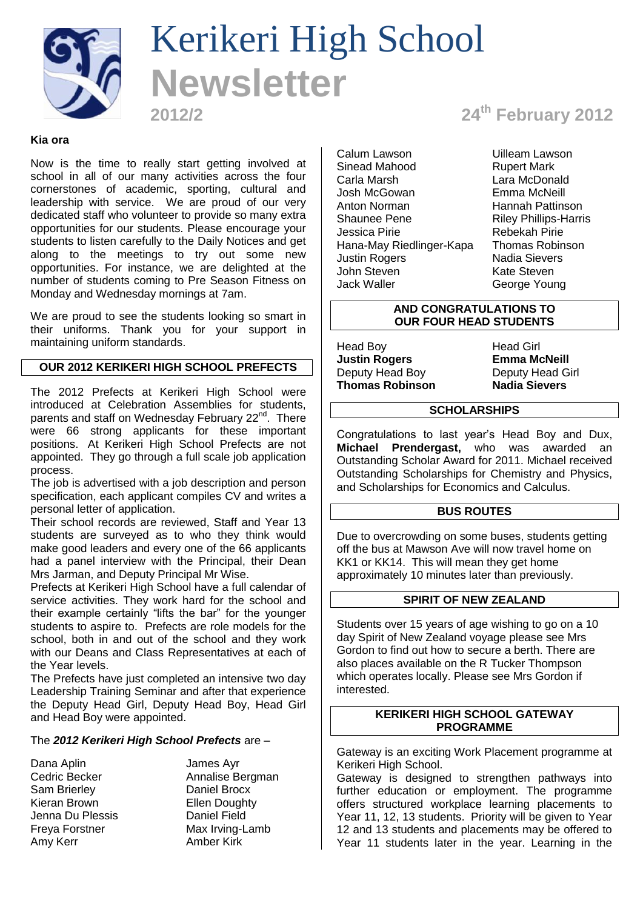

# Kerikeri High School **Newsletter**

#### **Kia ora**

Now is the time to really start getting involved at school in all of our many activities across the four cornerstones of academic, sporting, cultural and leadership with service. We are proud of our very dedicated staff who volunteer to provide so many extra opportunities for our students. Please encourage your students to listen carefully to the Daily Notices and get along to the meetings to try out some new opportunities. For instance, we are delighted at the number of students coming to Pre Season Fitness on Monday and Wednesday mornings at 7am.

We are proud to see the students looking so smart in their uniforms. Thank you for your support in maintaining uniform standards.

# **OUR 2012 KERIKERI HIGH SCHOOL PREFECTS**

The 2012 Prefects at Kerikeri High School were introduced at Celebration Assemblies for students, parents and staff on Wednesday February 22<sup>nd</sup>. There were 66 strong applicants for these important positions. At Kerikeri High School Prefects are not appointed. They go through a full scale job application process.

The job is advertised with a job description and person specification, each applicant compiles CV and writes a personal letter of application.

Their school records are reviewed, Staff and Year 13 students are surveyed as to who they think would make good leaders and every one of the 66 applicants had a panel interview with the Principal, their Dean Mrs Jarman, and Deputy Principal Mr Wise.

Prefects at Kerikeri High School have a full calendar of service activities. They work hard for the school and their example certainly "lifts the bar" for the younger students to aspire to. Prefects are role models for the school, both in and out of the school and they work with our Deans and Class Representatives at each of the Year levels.

The Prefects have just completed an intensive two day Leadership Training Seminar and after that experience the Deputy Head Girl, Deputy Head Boy, Head Girl and Head Boy were appointed.

#### The *2012 Kerikeri High School Prefects* are –

Dana Aplin **James Ayr**<br>Cedric Becker **Annalise Becker** Sam Brierley Daniel Brocx Kieran Brown **Ellen Doughty** Jenna Du Plessis **Daniel Field** Freya Forstner Max Irving-Lamb Amy Kerr **Amber Kirk** 

Annalise Bergman

# **2012/2 24th February 2012**

Calum Lawson Uilleam Lawson Sinead Mahood Rupert Mark Carla Marsh **Lara McDonald**<br> **Josh McGowan Lara McNeill** Josh McGowan<br>Anton Norman Anton Norman **Hannah Pattinson**<br>
Shaunee Pene **Hannah Pattin** Riley Phillips-Harri Jessica Pirie Hana-May Riedlinger-Kapa Thomas Robinson Justin Rogers<br>
John Steven<br>
John Steven<br>
1990 - Kate Steven John Steven<br>Jack Waller

Riley Phillips-Harris<br>Rebekah Pirie George Young

#### **AND CONGRATULATIONS TO OUR FOUR HEAD STUDENTS**

Head Boy<br> **Justin Rogers Emma McNeill Justin Rogers Emma McNeill**<br>
Deputy Head Boy **Deputy Head Girl** Deputy Head Boy Deputy Head G<br> **Thomas Robinson Nadia Sievers Thomas Robinson** 

# **SCHOLARSHIPS**

Congratulations to last year's Head Boy and Dux, **Michael Prendergast,** who was awarded an Outstanding Scholar Award for 2011. Michael received Outstanding Scholarships for Chemistry and Physics, and Scholarships for Economics and Calculus.

#### **BUS ROUTES**

Due to overcrowding on some buses, students getting off the bus at Mawson Ave will now travel home on KK1 or KK14. This will mean they get home approximately 10 minutes later than previously.

#### **SPIRIT OF NEW ZEALAND**

Students over 15 years of age wishing to go on a 10 day Spirit of New Zealand voyage please see Mrs Gordon to find out how to secure a berth. There are also places available on the R Tucker Thompson which operates locally. Please see Mrs Gordon if interested.

#### **KERIKERI HIGH SCHOOL GATEWAY PROGRAMME**

Gateway is an exciting Work Placement programme at Kerikeri High School.

Gateway is designed to strengthen pathways into further education or employment. The programme offers structured workplace learning placements to Year 11, 12, 13 students. Priority will be given to Year 12 and 13 students and placements may be offered to Year 11 students later in the year. Learning in the